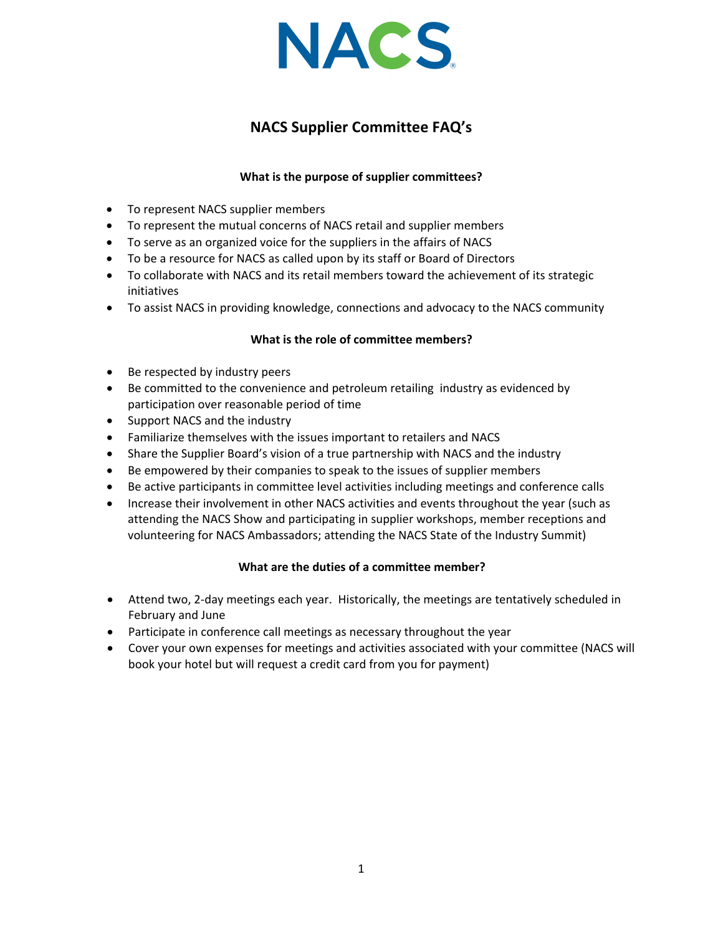

# **NACS Supplier Committee FAQ's**

### **What is the purpose of supplier committees?**

- To represent NACS supplier members
- To represent the mutual concerns of NACS retail and supplier members
- To serve as an organized voice for the suppliers in the affairs of NACS
- To be a resource for NACS as called upon by its staff or Board of Directors
- To collaborate with NACS and its retail members toward the achievement of its strategic initiatives
- To assist NACS in providing knowledge, connections and advocacy to the NACS community

### **What is the role of committee members?**

- Be respected by industry peers
- Be committed to the convenience and petroleum retailing industry as evidenced by participation over reasonable period of time
- Support NACS and the industry
- Familiarize themselves with the issues important to retailers and NACS
- Share the Supplier Board's vision of a true partnership with NACS and the industry
- Be empowered by their companies to speak to the issues of supplier members
- Be active participants in committee level activities including meetings and conference calls
- Increase their involvement in other NACS activities and events throughout the year (such as attending the NACS Show and participating in supplier workshops, member receptions and volunteering for NACS Ambassadors; attending the NACS State of the Industry Summit)

### **What are the duties of a committee member?**

- Attend two, 2‐day meetings each year. Historically, the meetings are tentatively scheduled in February and June
- Participate in conference call meetings as necessary throughout the year
- Cover your own expenses for meetings and activities associated with your committee (NACS will book your hotel but will request a credit card from you for payment)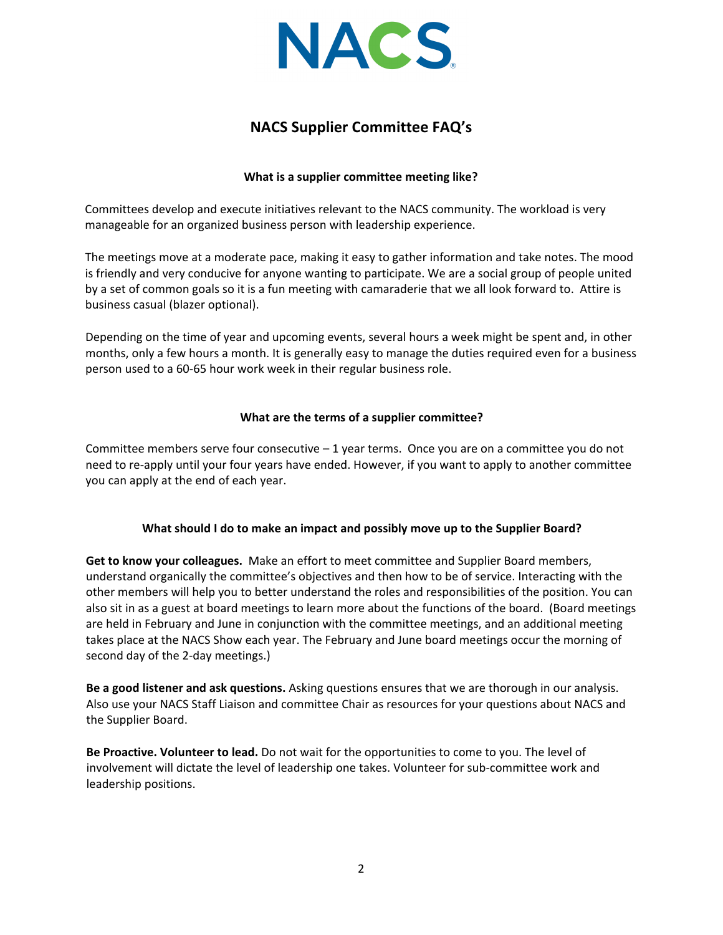

## **NACS Supplier Committee FAQ's**

### **What is a supplier committee meeting like?**

Committees develop and execute initiatives relevant to the NACS community. The workload is very manageable for an organized business person with leadership experience.

The meetings move at a moderate pace, making it easy to gather information and take notes. The mood is friendly and very conducive for anyone wanting to participate. We are a social group of people united by a set of common goals so it is a fun meeting with camaraderie that we all look forward to. Attire is business casual (blazer optional).

Depending on the time of year and upcoming events, several hours a week might be spent and, in other months, only a few hours a month. It is generally easy to manage the duties required even for a business person used to a 60‐65 hour work week in their regular business role.

### **What are the terms of a supplier committee?**

Committee members serve four consecutive – 1 year terms. Once you are on a committee you do not need to re‐apply until your four years have ended. However, if you want to apply to another committee you can apply at the end of each year.

### **What should I do to make an impact and possibly move up to the Supplier Board?**

**Get to know your colleagues.** Make an effort to meet committee and Supplier Board members, understand organically the committee's objectives and then how to be of service. Interacting with the other members will help you to better understand the roles and responsibilities of the position. You can also sit in as a guest at board meetings to learn more about the functions of the board. (Board meetings are held in February and June in conjunction with the committee meetings, and an additional meeting takes place at the NACS Show each year. The February and June board meetings occur the morning of second day of the 2‐day meetings.)

**Be a good listener and ask questions.** Asking questions ensures that we are thorough in our analysis. Also use your NACS Staff Liaison and committee Chair as resources for your questions about NACS and the Supplier Board.

**Be Proactive. Volunteer to lead.** Do not wait for the opportunities to come to you. The level of involvement will dictate the level of leadership one takes. Volunteer for sub‐committee work and leadership positions.